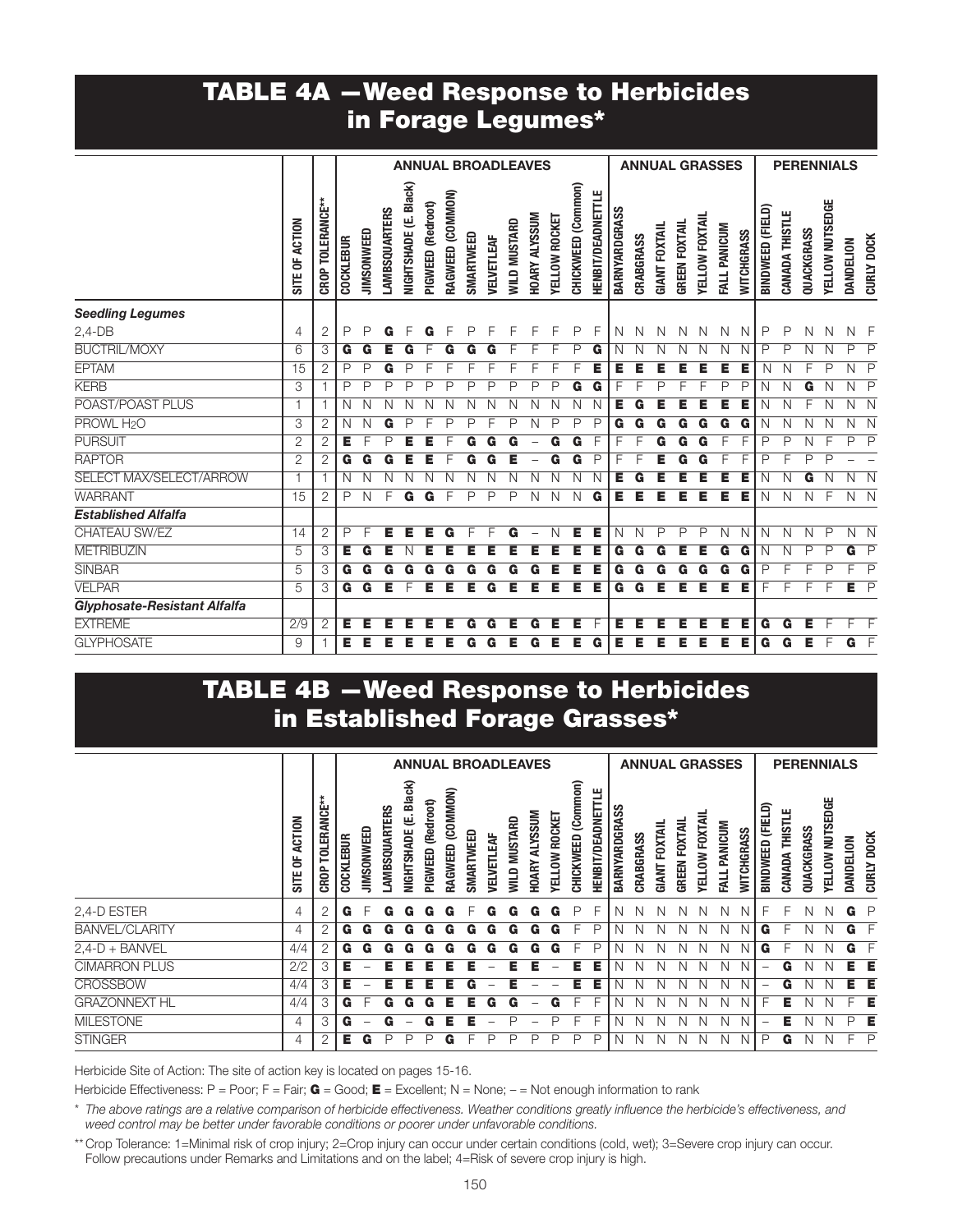### TABLE 4A —Weed Response to Herbicides in Forage Legumes\*

|                              |                |                  |                  |              |                      |                       |                   |                  |           |              | <b>ANNUAL BROADLEAVES</b> |               |               |                    |                          |               |           |                      | <b>ANNUAL GRASSES</b> |                |              |            |                  |                |            | <b>PERENNIALS</b> |           |                         |
|------------------------------|----------------|------------------|------------------|--------------|----------------------|-----------------------|-------------------|------------------|-----------|--------------|---------------------------|---------------|---------------|--------------------|--------------------------|---------------|-----------|----------------------|-----------------------|----------------|--------------|------------|------------------|----------------|------------|-------------------|-----------|-------------------------|
|                              | SITE OF ACTION | CROP TOLERANCE** | <b>COCKLEBUR</b> | JIMSONWEED   | <b>LAMBSQUARTERS</b> | NIGHTSHADE (E. Black) | PIGWEED (Redroot) | RAGWEED (COMMON) | SMARTWEED | VELVETLEAF   | <b>WILD MUSTARD</b>       | HOARY ALYSSUM | YELLOW ROCKET | CHICKWEED (Common) | <b>HENBIT/DEADNETTLE</b> | BARNYARDGRASS | CRABGRASS | <b>GIANT FOXTAIL</b> | <b>GREEN FOXTAIL</b>  | YELLOW FOXTAIL | FALL PANICUM | WITCHGRASS | BINDWEED (FIELD) | CANADA THISTLE | QUACKGRASS | YELLOW NUTSEDGE   | DANDELION | <b>CURLY DOCK</b>       |
| <b>Seedling Legumes</b>      |                |                  |                  |              |                      |                       |                   |                  |           |              |                           |               |               |                    |                          |               |           |                      |                       |                |              |            |                  |                |            |                   |           |                         |
| $2,4-DB$                     | 4              | 2                | $\mathsf{P}$     | P            | G                    |                       | G                 |                  | P         | F            | F                         | F             | F             | P                  | F                        | N             | N         | N                    | N                     | N              | N            | N          | P                | P              | N          | N                 | Ν         | - F                     |
| <b>BUCTRIL/MOXY</b>          | 6              | 3                | G                | G            | Е                    | G                     |                   |                  |           |              |                           |               |               | P                  | G                        | N             | N         | N                    |                       |                | N            | N          | Ρ                | P              | Ν          | N                 | P         | $\overline{\mathsf{P}}$ |
| <b>EPTAM</b>                 | 15             | 2                | P                | P            | G                    | Р                     |                   |                  |           |              |                           |               |               |                    | Е                        | Е             | Е         | Е                    |                       | Е              | Е            | Е          | N                | N              |            | Ρ                 | Ν         | $\mathsf{P}$            |
| <b>KERB</b>                  | 3              | 1                | P                | P            | P                    | P                     | P                 | D                | D         | D            | D                         | D             | P             | G                  | G                        |               |           | ₽                    |                       |                | D            | P          | Ν                | N              | G          | Ν                 | Ν         | $\overline{P}$          |
| POAST/POAST PLUS             |                | 1                | N                | N            |                      |                       |                   |                  |           |              |                           |               |               |                    |                          | Е             | G         |                      |                       |                |              | Е          |                  |                |            |                   | Ν         | N                       |
| PROWL H <sub>2</sub> O       | 3              | 2                | N                | N            | G                    | D                     |                   | D                | P         | F            | P                         | N             | P             | P                  | P                        | G             | G         | G                    | G                     | G              | G            | G          | Ν                | N              | N          | Ν                 | Ν         | N                       |
| <b>PURSUIT</b>               | 2              | 2                | Е                | F            | P                    | Е                     | Е                 |                  | G         | G            | G                         |               | G             | G                  | F                        |               |           | G                    | G                     | G              |              | F          | Ρ                | Ρ              | N          | F                 | P         | $\mathsf{P}$            |
| <b>RAPTOR</b>                | $\overline{2}$ | $\overline{2}$   | G                | G            | G                    | Е                     |                   |                  |           |              |                           |               | G             | G                  | P                        |               |           |                      |                       |                |              | F          | P                | F              | P          | ₽                 |           |                         |
| SELECT MAX/SELECT/ARROW      |                | 1                | N                | N            | N                    | Ν                     |                   |                  |           |              |                           |               |               |                    | N                        | Е             | G         | E                    |                       |                | Е            | Е          | Ν                | N              | G          |                   | Ν         | $\overline{N}$          |
| <b>WARRANT</b>               | 15             | $\overline{2}$   | $\mathsf{P}$     | $\mathsf{N}$ | F                    | G                     | G                 | $\mathsf{F}$     | P         | $\mathsf{P}$ | P                         | N             | N             | N                  | G                        | Е             | Е         | Е                    | Е                     | Е              | Е            | Е          | N                | N              | N          | F                 | $N$ $N$   |                         |
| <b>Established Alfalfa</b>   |                |                  |                  |              |                      |                       |                   |                  |           |              |                           |               |               |                    |                          |               |           |                      |                       |                |              |            |                  |                |            |                   |           |                         |
| CHATEAU SW/EZ                | 14             | $\overline{2}$   | P                | E            | Е                    | Е                     | Е                 | G                | F         | F            | G                         |               | N             | Е                  | Е                        | $\mathsf{N}$  | N         | $\mathsf{P}$         | P                     | P              | Ν            | N          | Ν                | N              | N          | $\mathsf{P}$      | N N       |                         |
| <b>METRIBUZIN</b>            | 5              | 3                | Έ                | G            |                      |                       |                   |                  |           |              |                           |               |               |                    |                          | G             | G         | G                    |                       |                | G            | G          | Ν                | Ν              | P          | Ρ                 | G         | $\overline{\mathsf{P}}$ |
| <b>SINBAR</b>                | 5              | 3                | G                | G            | G                    | G                     | G                 | G                | G         | G            | G                         | G             |               | Е                  | Е                        | G             | G         | G                    | G                     | G              | G            | G          | P                |                |            | Ρ                 |           | $\overline{P}$          |
| <b>VELPAR</b>                | 5              | 3                | G                | G            | Е                    | F                     | Е                 | Е                | Е         | G            | Е                         | Е             | Е             | Е                  | Е                        | G             | G         | Е                    | Е                     | Е              | Е            | E          | F                | F              | F          | F                 | Е         | $\overline{P}$          |
| Glyphosate-Resistant Alfalfa |                |                  |                  |              |                      |                       |                   |                  |           |              |                           |               |               |                    |                          |               |           |                      |                       |                |              |            |                  |                |            |                   |           |                         |
| <b>EXTREME</b>               | 2/9            | $\overline{2}$   | Е                | Е            | Е                    | Е                     | Е                 | Е                | G         | G            | Е                         | G             | Е             | Е                  | F                        | Е             | Е         | Е                    | Е                     | Е              | Е            | Е          | G                | G              | Е          |                   |           |                         |
| <b>GLYPHOSATE</b>            | 9              |                  | Е                | Е            | Е                    | Е                     | Е                 | Е                | G         | G            | Е                         | G             | Е             | Е                  | G                        | Е             | Е         | Е                    | Е                     | Е              | Е            | Е          | G                | G              | Е          | F                 | G         | E                       |

### TABLE 4B —Weed Response to Herbicides in Established Forage Grasses\*

|                                                                                                                                                                                                                                                                                                                                                                      |                                   |                  |           |                   |                     |                          |                   |                     |           |                          | <b>ANNUAL BROADLEAVES</b> |                         |                      |                       |                             |                     |           |                      | <b>ANNUAL GRASSES</b> |                       |             |                   |                  |                |            | <b>PERENNIALS</b>      |           |                      |
|----------------------------------------------------------------------------------------------------------------------------------------------------------------------------------------------------------------------------------------------------------------------------------------------------------------------------------------------------------------------|-----------------------------------|------------------|-----------|-------------------|---------------------|--------------------------|-------------------|---------------------|-----------|--------------------------|---------------------------|-------------------------|----------------------|-----------------------|-----------------------------|---------------------|-----------|----------------------|-----------------------|-----------------------|-------------|-------------------|------------------|----------------|------------|------------------------|-----------|----------------------|
|                                                                                                                                                                                                                                                                                                                                                                      | <b>ACTION</b><br>5<br><b>SITE</b> | CROP TOLERANCE** | COCKLEBUR | <b>JIMSONWEED</b> | <b>AMBSQUARTERS</b> | (E. Black)<br>NIGHTSHADE | PIGWEED (Redroot) | (COMMON)<br>RAGWEED | SMARTWEED | <b><i>JELVETLEAF</i></b> | <b>MUSTARD</b><br>QUIM    | <b>ALYSSUM</b><br>HOARY | <b>TELLOW ROCKET</b> | (Common)<br>CHICKWEED | щ<br><b>HENBIT/DEADNETT</b> | <b>BARNYARDGRAS</b> | CRABGRASS | <b>GIANT FOXTAIL</b> | <b>GREEN FOXTAIL</b>  | <b>TELLOW FOXTAIL</b> | ALL PANICUM | <b>NITCHGRASS</b> | BINDWEED (FIELD) | CANADA THISTLE | QUACKGRASS | <b>YELLOW NUTSEDGE</b> | DANDELION | <b>DOCK</b><br>CURLY |
| 2,4-D ESTER                                                                                                                                                                                                                                                                                                                                                          | 4                                 | 2                | G         |                   |                     |                          |                   |                     |           |                          |                           | G                       | G                    | P                     | F                           | N                   |           |                      |                       |                       | N           |                   |                  |                |            |                        | G         |                      |
| <b>BANVEL/CLARITY</b>                                                                                                                                                                                                                                                                                                                                                | 4                                 | 2                | G         | G                 |                     |                          |                   |                     |           |                          |                           | G                       | G                    |                       | P                           |                     |           |                      |                       |                       |             |                   | G                |                |            |                        | G         | F                    |
| $2,4-D + BANVEL$                                                                                                                                                                                                                                                                                                                                                     | 4/4                               | 2                | G         |                   |                     |                          |                   |                     |           |                          |                           |                         |                      |                       | P                           |                     |           |                      |                       |                       |             |                   | G                |                |            |                        |           |                      |
| <b>CIMARRON PLUS</b>                                                                                                                                                                                                                                                                                                                                                 | 2/2                               | 3                | Е         |                   |                     |                          |                   |                     |           |                          |                           |                         |                      |                       | Е                           |                     |           |                      |                       |                       | Ν           | N                 |                  | G              |            |                        |           | Е                    |
| <b>CROSSBOW</b>                                                                                                                                                                                                                                                                                                                                                      | 4/4                               | 3                | Е         |                   |                     |                          |                   |                     |           |                          |                           |                         |                      | Е                     | Е                           |                     |           |                      |                       |                       | N           | N                 |                  | G              |            |                        | Е         | E                    |
| <b>GRAZONNEXT HL</b>                                                                                                                                                                                                                                                                                                                                                 | 4/4                               | 3                | G         |                   |                     |                          |                   |                     |           |                          |                           |                         |                      |                       |                             |                     |           |                      |                       |                       |             |                   |                  | Е              |            |                        |           | Е                    |
| <b>MILESTONE</b>                                                                                                                                                                                                                                                                                                                                                     | 4                                 | 3                | G         |                   |                     |                          |                   |                     |           |                          |                           |                         |                      |                       |                             | N                   |           |                      |                       |                       | Ν           | N                 |                  | Е              |            |                        | ₽         | Е                    |
| <b>STINGER</b>                                                                                                                                                                                                                                                                                                                                                       | 4                                 | 2                | Е         | G                 |                     |                          |                   |                     |           |                          |                           | ₽                       | P                    | P                     | P                           | N                   | N         | N                    |                       | N                     | Ν           | N                 | P                | G              | N          |                        | F         | P                    |
| Herbicide Site of Action: The site of action key is located on pages 15-16.<br>Herbicide Effectiveness: P = Poor; F = Fair; <b>G</b> = Good; <b>E</b> = Excellent; N = None; - = Not enough information to rank<br>* The above ratings are a relative comparison of herbicide effectiveness. Weather conditions greatly influence the herbicide's effectiveness, and |                                   |                  |           |                   |                     |                          |                   |                     |           |                          |                           |                         |                      |                       |                             |                     |           |                      |                       |                       |             |                   |                  |                |            |                        |           |                      |
| weed control may be better under favorable conditions or poorer under unfavorable conditions.<br>** Crop Tolerance: 1=Minimal risk of crop injury; 2=Crop injury can occur under certain conditions (cold, wet); 3=Severe crop injury can occur.<br>Follow precautions under Remarks and Limitations and on the label; 4=Risk of severe crop injury is high.         |                                   |                  |           |                   |                     |                          |                   |                     |           |                          |                           |                         |                      |                       |                             |                     |           |                      |                       |                       |             |                   |                  |                |            |                        |           |                      |

- \* *The above ratings are a relative comparison of herbicide effectiveness. Weather conditions greatly influence the herbicide's effectiveness, and weed control may be better under favorable conditions or poorer under unfavorable conditions.*
- \*\* Crop Tolerance: 1=Minimal risk of crop injury; 2=Crop injury can occur under certain conditions (cold, wet); 3=Severe crop injury can occur.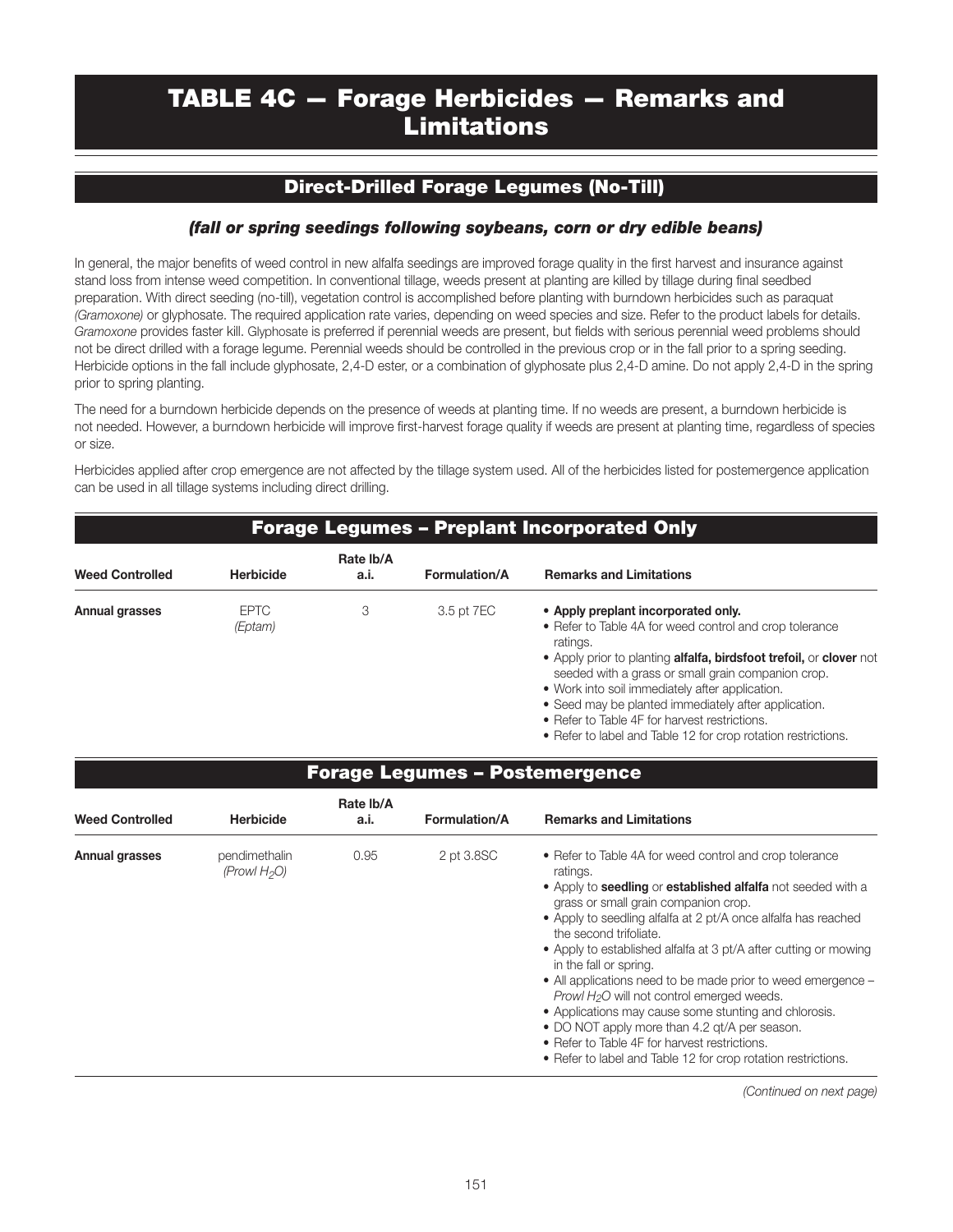# TABLE 4C — Forage Herbicides — Remarks and Limitations

#### Direct-Drilled Forage Legumes (No-Till)

#### *(fall or spring seedings following soybeans, corn or dry edible beans)*

In general, the major benefits of weed control in new alfalfa seedings are improved forage quality in the first harvest and insurance against stand loss from intense weed competition. In conventional tillage, weeds present at planting are killed by tillage during final seedbed preparation. With direct seeding (no-till), vegetation control is accomplished before planting with burndown herbicides such as paraquat *(Gramoxone)* or glyphosate. The required application rate varies, depending on weed species and size. Refer to the product labels for details. *Gramoxone* provides faster kill. Glyphosate is preferred if perennial weeds are present, but fields with serious perennial weed problems should not be direct drilled with a forage legume. Perennial weeds should be controlled in the previous crop or in the fall prior to a spring seeding. Herbicide options in the fall include glyphosate, 2,4-D ester, or a combination of glyphosate plus 2,4-D amine. Do not apply 2,4-D in the spring prior to spring planting.

The need for a burndown herbicide depends on the presence of weeds at planting time. If no weeds are present, a burndown herbicide is not needed. However, a burndown herbicide will improve first-harvest forage quality if weeds are present at planting time, regardless of species or size.

Herbicides applied after crop emergence are not affected by the tillage system used. All of the herbicides listed for postemergence application can be used in all tillage systems including direct drilling.

|                        |                                  |                   |                      | <b>Forage Legumes - Preplant Incorporated Only</b>                                                                                                                                                                                                                                                                                                                                                                                                                                                                                                                                                                                                                                                                          |
|------------------------|----------------------------------|-------------------|----------------------|-----------------------------------------------------------------------------------------------------------------------------------------------------------------------------------------------------------------------------------------------------------------------------------------------------------------------------------------------------------------------------------------------------------------------------------------------------------------------------------------------------------------------------------------------------------------------------------------------------------------------------------------------------------------------------------------------------------------------------|
| <b>Weed Controlled</b> | <b>Herbicide</b>                 | Rate Ib/A<br>a.i. | <b>Formulation/A</b> | <b>Remarks and Limitations</b>                                                                                                                                                                                                                                                                                                                                                                                                                                                                                                                                                                                                                                                                                              |
| <b>Annual grasses</b>  | <b>EPTC</b><br>(Eptam)           | 3                 | 3.5 pt 7EC           | • Apply preplant incorporated only.<br>• Refer to Table 4A for weed control and crop tolerance<br>ratings.<br>• Apply prior to planting <b>alfalfa, birdsfoot trefoil,</b> or <b>clover</b> not<br>seeded with a grass or small grain companion crop.<br>• Work into soil immediately after application.<br>• Seed may be planted immediately after application.<br>• Refer to Table 4F for harvest restrictions.<br>• Refer to label and Table 12 for crop rotation restrictions.                                                                                                                                                                                                                                          |
|                        |                                  |                   |                      | <b>Forage Legumes - Postemergence</b>                                                                                                                                                                                                                                                                                                                                                                                                                                                                                                                                                                                                                                                                                       |
| <b>Weed Controlled</b> | <b>Herbicide</b>                 | Rate Ib/A<br>a.i. | <b>Formulation/A</b> | <b>Remarks and Limitations</b>                                                                                                                                                                                                                                                                                                                                                                                                                                                                                                                                                                                                                                                                                              |
| <b>Annual grasses</b>  | pendimethalin<br>(Prowl $H_2O$ ) | 0.95              | 2 pt 3.8SC           | • Refer to Table 4A for weed control and crop tolerance<br>ratings.<br>. Apply to seedling or established alfalfa not seeded with a<br>grass or small grain companion crop.<br>• Apply to seedling alfalfa at 2 pt/A once alfalfa has reached<br>the second trifoliate.<br>• Apply to established alfalfa at 3 pt/A after cutting or mowing<br>in the fall or spring.<br>• All applications need to be made prior to weed emergence -<br>Prowl H <sub>2</sub> O will not control emerged weeds.<br>• Applications may cause some stunting and chlorosis.<br>• DO NOT apply more than 4.2 gt/A per season.<br>• Refer to Table 4F for harvest restrictions.<br>• Refer to label and Table 12 for crop rotation restrictions. |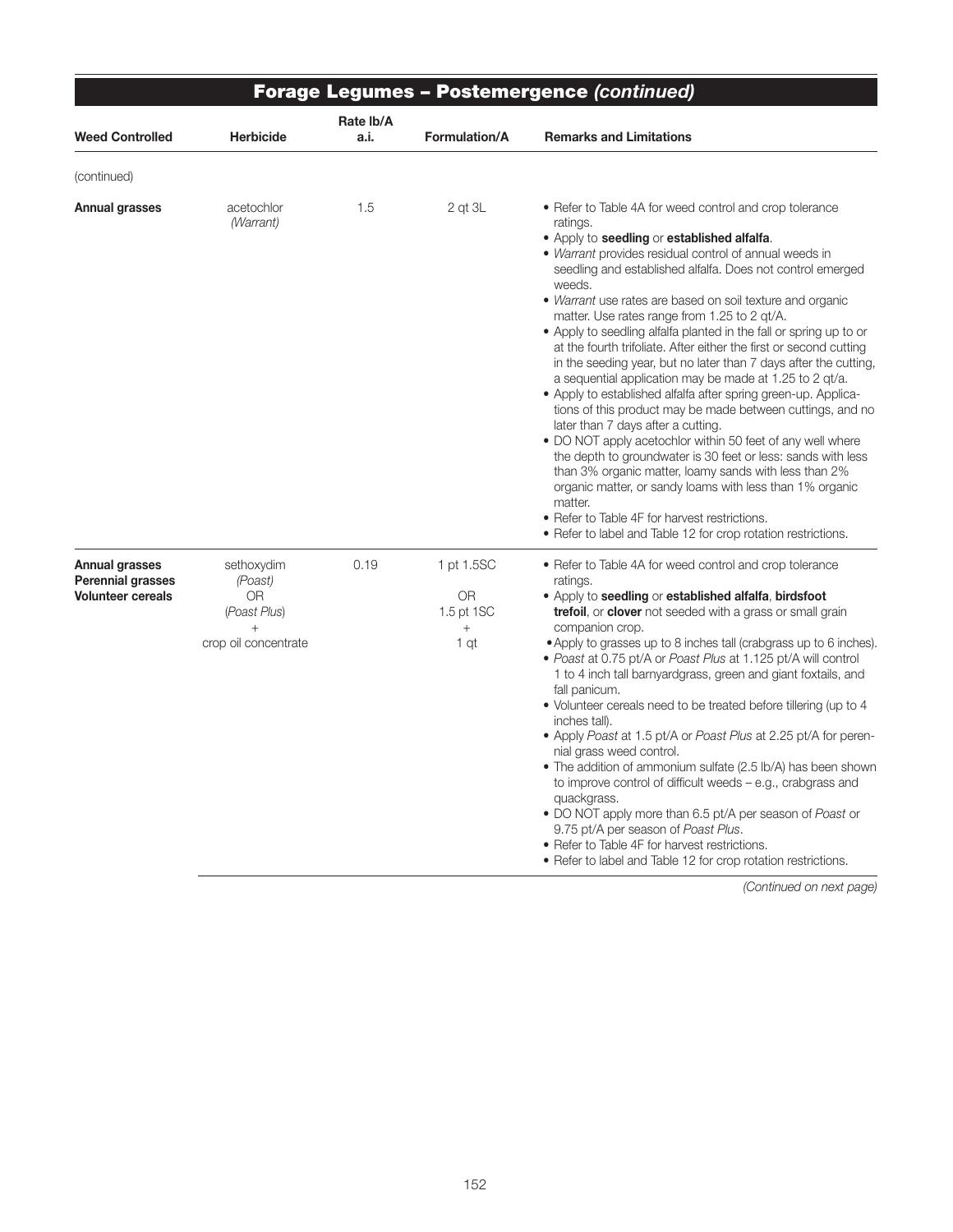|                                                                               |                                                                                      |                   |                                                         | <b>Forage Legumes - Postemergence (continued)</b>                                                                                                                                                                                                                                                                                                                                                                                                                                                                                                                                                                                                                                                                                                                                                                                                                                                                                                                                                                                                                                                                                                                                                  |
|-------------------------------------------------------------------------------|--------------------------------------------------------------------------------------|-------------------|---------------------------------------------------------|----------------------------------------------------------------------------------------------------------------------------------------------------------------------------------------------------------------------------------------------------------------------------------------------------------------------------------------------------------------------------------------------------------------------------------------------------------------------------------------------------------------------------------------------------------------------------------------------------------------------------------------------------------------------------------------------------------------------------------------------------------------------------------------------------------------------------------------------------------------------------------------------------------------------------------------------------------------------------------------------------------------------------------------------------------------------------------------------------------------------------------------------------------------------------------------------------|
| <b>Weed Controlled</b>                                                        | <b>Herbicide</b>                                                                     | Rate Ib/A<br>a.i. | <b>Formulation/A</b>                                    | <b>Remarks and Limitations</b>                                                                                                                                                                                                                                                                                                                                                                                                                                                                                                                                                                                                                                                                                                                                                                                                                                                                                                                                                                                                                                                                                                                                                                     |
| (continued)                                                                   |                                                                                      |                   |                                                         |                                                                                                                                                                                                                                                                                                                                                                                                                                                                                                                                                                                                                                                                                                                                                                                                                                                                                                                                                                                                                                                                                                                                                                                                    |
| <b>Annual grasses</b>                                                         | acetochlor<br>(Warrant)                                                              | 1.5               | $2$ qt $3L$                                             | • Refer to Table 4A for weed control and crop tolerance<br>ratings.<br>• Apply to seedling or established alfalfa.<br>• Warrant provides residual control of annual weeds in<br>seedling and established alfalfa. Does not control emerged<br>weeds.<br>• Warrant use rates are based on soil texture and organic<br>matter. Use rates range from 1.25 to 2 gt/A.<br>• Apply to seedling alfalfa planted in the fall or spring up to or<br>at the fourth trifoliate. After either the first or second cutting<br>in the seeding year, but no later than 7 days after the cutting,<br>a sequential application may be made at 1.25 to 2 gt/a.<br>· Apply to established alfalfa after spring green-up. Applica-<br>tions of this product may be made between cuttings, and no<br>later than 7 days after a cutting.<br>. DO NOT apply acetochlor within 50 feet of any well where<br>the depth to groundwater is 30 feet or less: sands with less<br>than 3% organic matter, loamy sands with less than 2%<br>organic matter, or sandy loams with less than 1% organic<br>matter.<br>• Refer to Table 4F for harvest restrictions.<br>• Refer to label and Table 12 for crop rotation restrictions. |
| <b>Annual grasses</b><br><b>Perennial grasses</b><br><b>Volunteer cereals</b> | sethoxydim<br>(Poast)<br><b>OR</b><br>(Poast Plus)<br>$^{+}$<br>crop oil concentrate | 0.19              | 1 pt 1.5SC<br><b>OR</b><br>1.5 pt 1SC<br>$\! +$<br>1 qt | • Refer to Table 4A for weed control and crop tolerance<br>ratings.<br>• Apply to seedling or established alfalfa, birdsfoot<br>trefoil, or clover not seeded with a grass or small grain<br>companion crop.<br>• Apply to grasses up to 8 inches tall (crabgrass up to 6 inches).<br>. Poast at 0.75 pt/A or Poast Plus at 1.125 pt/A will control<br>1 to 4 inch tall barnyardgrass, green and giant foxtails, and<br>fall panicum.<br>· Volunteer cereals need to be treated before tillering (up to 4<br>inches tall).<br>• Apply Poast at 1.5 pt/A or Poast Plus at 2.25 pt/A for peren-<br>nial grass weed control.<br>• The addition of ammonium sulfate (2.5 lb/A) has been shown<br>to improve control of difficult weeds $-$ e.g., crabgrass and<br>quackgrass.<br>• DO NOT apply more than 6.5 pt/A per season of Poast or<br>9.75 pt/A per season of Poast Plus.<br>• Refer to Table 4F for harvest restrictions.<br>• Refer to label and Table 12 for crop rotation restrictions.                                                                                                                                                                                                     |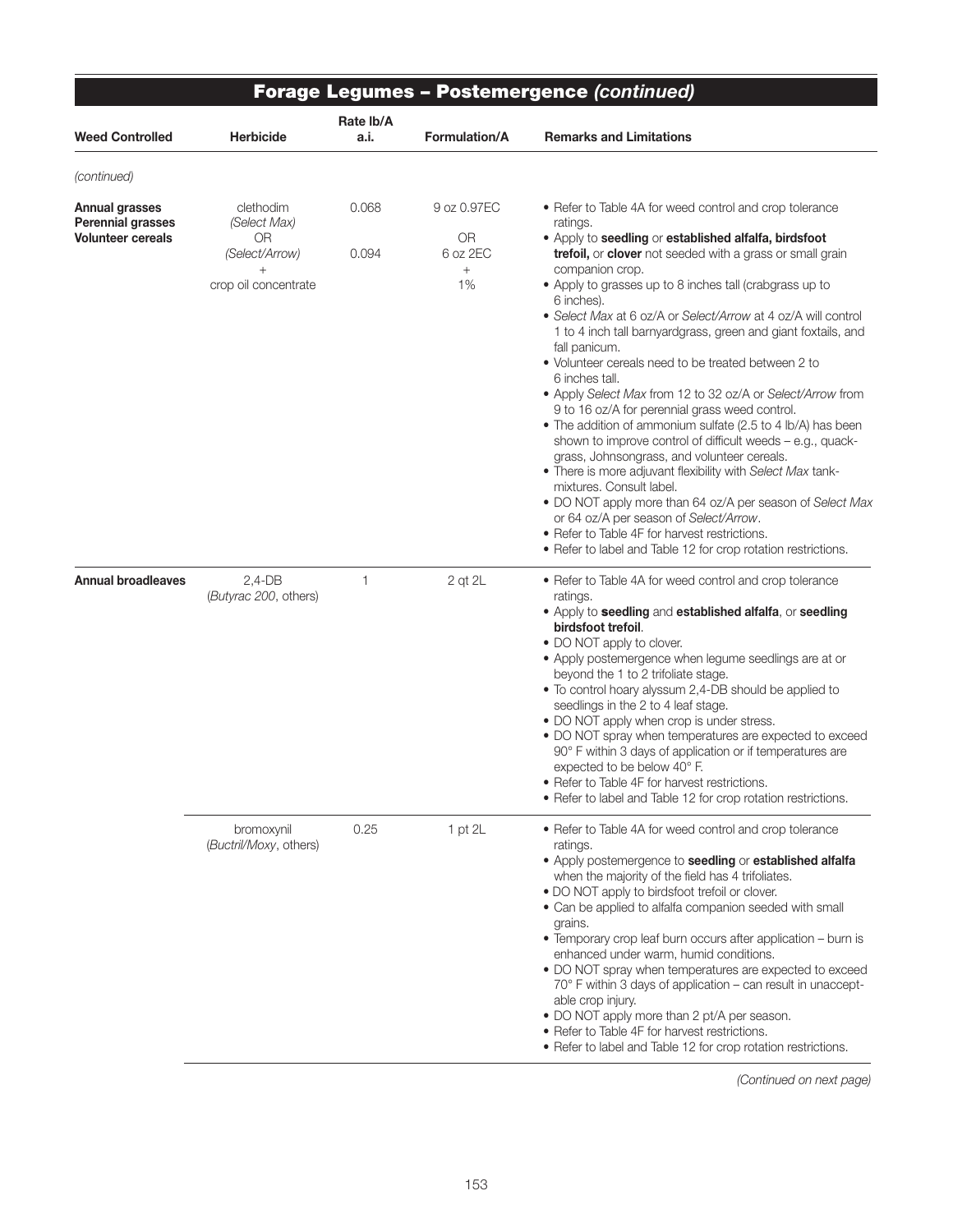| <b>Weed Controlled</b>                            | <b>Herbicide</b>                      | Rate lb/A<br>a.i. | <b>Formulation/A</b>         | <b>Remarks and Limitations</b>                                                                                                                                                                                                                                                           |
|---------------------------------------------------|---------------------------------------|-------------------|------------------------------|------------------------------------------------------------------------------------------------------------------------------------------------------------------------------------------------------------------------------------------------------------------------------------------|
|                                                   |                                       |                   |                              |                                                                                                                                                                                                                                                                                          |
| (continued)                                       |                                       |                   |                              |                                                                                                                                                                                                                                                                                          |
| <b>Annual grasses</b><br><b>Perennial grasses</b> | clethodim<br>(Select Max)             | 0.068             | 9 oz 0.97EC                  | • Refer to Table 4A for weed control and crop tolerance<br>ratings.                                                                                                                                                                                                                      |
| <b>Volunteer cereals</b>                          | <b>OR</b><br>(Select/Arrow)<br>$^{+}$ | 0.094             | <b>OR</b><br>6 oz 2EC<br>$+$ | • Apply to seedling or established alfalfa, birdsfoot<br>trefoil, or clover not seeded with a grass or small grain<br>companion crop.                                                                                                                                                    |
|                                                   | crop oil concentrate                  |                   | 1%                           | • Apply to grasses up to 8 inches tall (crabgrass up to<br>6 inches).                                                                                                                                                                                                                    |
|                                                   |                                       |                   |                              | • Select Max at 6 oz/A or Select/Arrow at 4 oz/A will control<br>1 to 4 inch tall barnyardgrass, green and giant foxtails, and<br>fall panicum.                                                                                                                                          |
|                                                   |                                       |                   |                              | • Volunteer cereals need to be treated between 2 to<br>6 inches tall.<br>• Apply Select Max from 12 to 32 oz/A or Select/Arrow from                                                                                                                                                      |
|                                                   |                                       |                   |                              | 9 to 16 oz/A for perennial grass weed control.<br>• The addition of ammonium sulfate (2.5 to 4 lb/A) has been<br>shown to improve control of difficult weeds - e.g., quack-<br>grass, Johnsongrass, and volunteer cereals.<br>. There is more adjuvant flexibility with Select Max tank- |
|                                                   |                                       |                   |                              | mixtures. Consult label.<br>. DO NOT apply more than 64 oz/A per season of Select Max<br>or 64 oz/A per season of Select/Arrow.                                                                                                                                                          |
|                                                   |                                       |                   |                              | • Refer to Table 4F for harvest restrictions.<br>• Refer to label and Table 12 for crop rotation restrictions.                                                                                                                                                                           |
| <b>Annual broadleaves</b>                         | $2,4-DB$<br>(Butyrac 200, others)     | 1                 | 2 qt 2L                      | • Refer to Table 4A for weed control and crop tolerance<br>ratings.                                                                                                                                                                                                                      |
|                                                   |                                       |                   |                              | • Apply to seedling and established alfalfa, or seedling<br>birdsfoot trefoil.<br>• DO NOT apply to clover.                                                                                                                                                                              |
|                                                   |                                       |                   |                              | • Apply postemergence when legume seedlings are at or<br>beyond the 1 to 2 trifoliate stage.                                                                                                                                                                                             |
|                                                   |                                       |                   |                              | . To control hoary alyssum 2,4-DB should be applied to<br>seedlings in the 2 to 4 leaf stage.<br>• DO NOT apply when crop is under stress.                                                                                                                                               |
|                                                   |                                       |                   |                              | • DO NOT spray when temperatures are expected to exceed<br>90° F within 3 days of application or if temperatures are<br>expected to be below 40° F.                                                                                                                                      |
|                                                   |                                       |                   |                              | • Refer to Table 4F for harvest restrictions.<br>• Refer to label and Table 12 for crop rotation restrictions.                                                                                                                                                                           |
|                                                   | bromoxynil<br>(Buctril/Moxy, others)  | 0.25              | $1$ pt $2L$                  | • Refer to Table 4A for weed control and crop tolerance<br>ratings.                                                                                                                                                                                                                      |
|                                                   |                                       |                   |                              | • Apply postemergence to seedling or established alfalfa<br>when the majority of the field has 4 trifoliates.<br>• DO NOT apply to birdsfoot trefoil or clover.<br>• Can be applied to alfalfa companion seeded with small                                                               |
|                                                   |                                       |                   |                              | grains.<br>• Temporary crop leaf burn occurs after application - burn is<br>enhanced under warm, humid conditions.                                                                                                                                                                       |
|                                                   |                                       |                   |                              | . DO NOT spray when temperatures are expected to exceed<br>70° F within 3 days of application – can result in unaccept-                                                                                                                                                                  |
|                                                   |                                       |                   |                              | able crop injury.<br>• DO NOT apply more than 2 pt/A per season.<br>• Refer to Table 4F for harvest restrictions.<br>• Refer to label and Table 12 for crop rotation restrictions.                                                                                                       |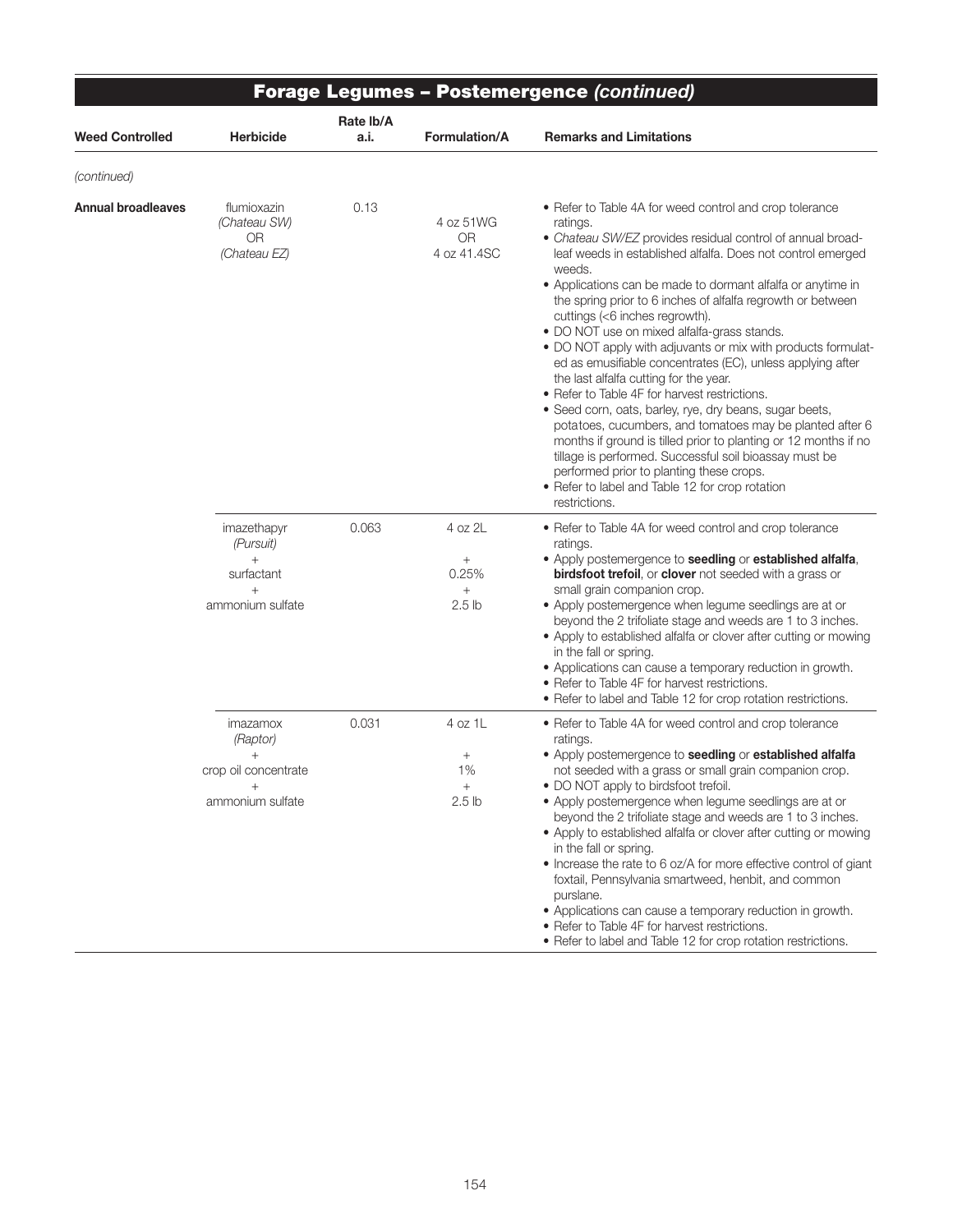|                           |                                                                                | Rate lb/A |                                                              | Forage Legumes – Postemergence (continued)                                                                                                                                                                                                                                                                                                                                                                                                                                                                                                                                                                                                                                                                                                                                                                                                                                                                                                                                                                             |
|---------------------------|--------------------------------------------------------------------------------|-----------|--------------------------------------------------------------|------------------------------------------------------------------------------------------------------------------------------------------------------------------------------------------------------------------------------------------------------------------------------------------------------------------------------------------------------------------------------------------------------------------------------------------------------------------------------------------------------------------------------------------------------------------------------------------------------------------------------------------------------------------------------------------------------------------------------------------------------------------------------------------------------------------------------------------------------------------------------------------------------------------------------------------------------------------------------------------------------------------------|
| <b>Weed Controlled</b>    | <b>Herbicide</b>                                                               | a.i.      | <b>Formulation/A</b>                                         | <b>Remarks and Limitations</b>                                                                                                                                                                                                                                                                                                                                                                                                                                                                                                                                                                                                                                                                                                                                                                                                                                                                                                                                                                                         |
| (continued)               |                                                                                |           |                                                              |                                                                                                                                                                                                                                                                                                                                                                                                                                                                                                                                                                                                                                                                                                                                                                                                                                                                                                                                                                                                                        |
| <b>Annual broadleaves</b> | flumioxazin<br>(Chateau SW)<br>OR<br>(Chateau EZ)                              | 0.13      | 4 oz 51WG<br><b>OR</b><br>4 oz 41.4SC                        | • Refer to Table 4A for weed control and crop tolerance<br>ratings.<br>• Chateau SW/EZ provides residual control of annual broad-<br>leaf weeds in established alfalfa. Does not control emerged<br>weeds.<br>• Applications can be made to dormant alfalfa or anytime in<br>the spring prior to 6 inches of alfalfa regrowth or between<br>cuttings (<6 inches regrowth).<br>• DO NOT use on mixed alfalfa-grass stands.<br>• DO NOT apply with adjuvants or mix with products formulat-<br>ed as emusifiable concentrates (EC), unless applying after<br>the last alfalfa cutting for the year.<br>• Refer to Table 4F for harvest restrictions.<br>• Seed corn, oats, barley, rye, dry beans, sugar beets,<br>potatoes, cucumbers, and tomatoes may be planted after 6<br>months if ground is tilled prior to planting or 12 months if no<br>tillage is performed. Successful soil bioassay must be<br>performed prior to planting these crops.<br>• Refer to label and Table 12 for crop rotation<br>restrictions. |
|                           | imazethapyr<br>(Pursuit)<br>$^{+}$<br>surfactant<br>$^{+}$<br>ammonium sulfate | 0.063     | 4 oz 2L<br>$\! + \!$<br>0.25%<br>$^{+}$<br>2.5 <sub>lb</sub> | • Refer to Table 4A for weed control and crop tolerance<br>ratings.<br>• Apply postemergence to seedling or established alfalfa,<br>birdsfoot trefoil, or clover not seeded with a grass or<br>small grain companion crop.<br>• Apply postemergence when legume seedlings are at or<br>beyond the 2 trifoliate stage and weeds are 1 to 3 inches.<br>• Apply to established alfalfa or clover after cutting or mowing<br>in the fall or spring.<br>• Applications can cause a temporary reduction in growth.<br>• Refer to Table 4F for harvest restrictions.<br>• Refer to label and Table 12 for crop rotation restrictions.                                                                                                                                                                                                                                                                                                                                                                                         |
|                           | imazamox<br>(Raptor)<br>$^{+}$<br>crop oil concentrate<br>ammonium sulfate     | 0.031     | 4 oz 1L<br>$^{+}$<br>1%<br>$^{+}$<br>2.5 <sub>lb</sub>       | • Refer to Table 4A for weed control and crop tolerance<br>ratings.<br>• Apply postemergence to seedling or established alfalfa<br>not seeded with a grass or small grain companion crop.<br>• DO NOT apply to birdsfoot trefoil.<br>• Apply postemergence when legume seedlings are at or<br>beyond the 2 trifoliate stage and weeds are 1 to 3 inches.<br>• Apply to established alfalfa or clover after cutting or mowing<br>in the fall or spring.<br>• Increase the rate to 6 oz/A for more effective control of giant<br>foxtail, Pennsylvania smartweed, henbit, and common<br>purslane.<br>• Applications can cause a temporary reduction in growth.<br>• Refer to Table 4F for harvest restrictions.<br>• Refer to label and Table 12 for crop rotation restrictions.                                                                                                                                                                                                                                         |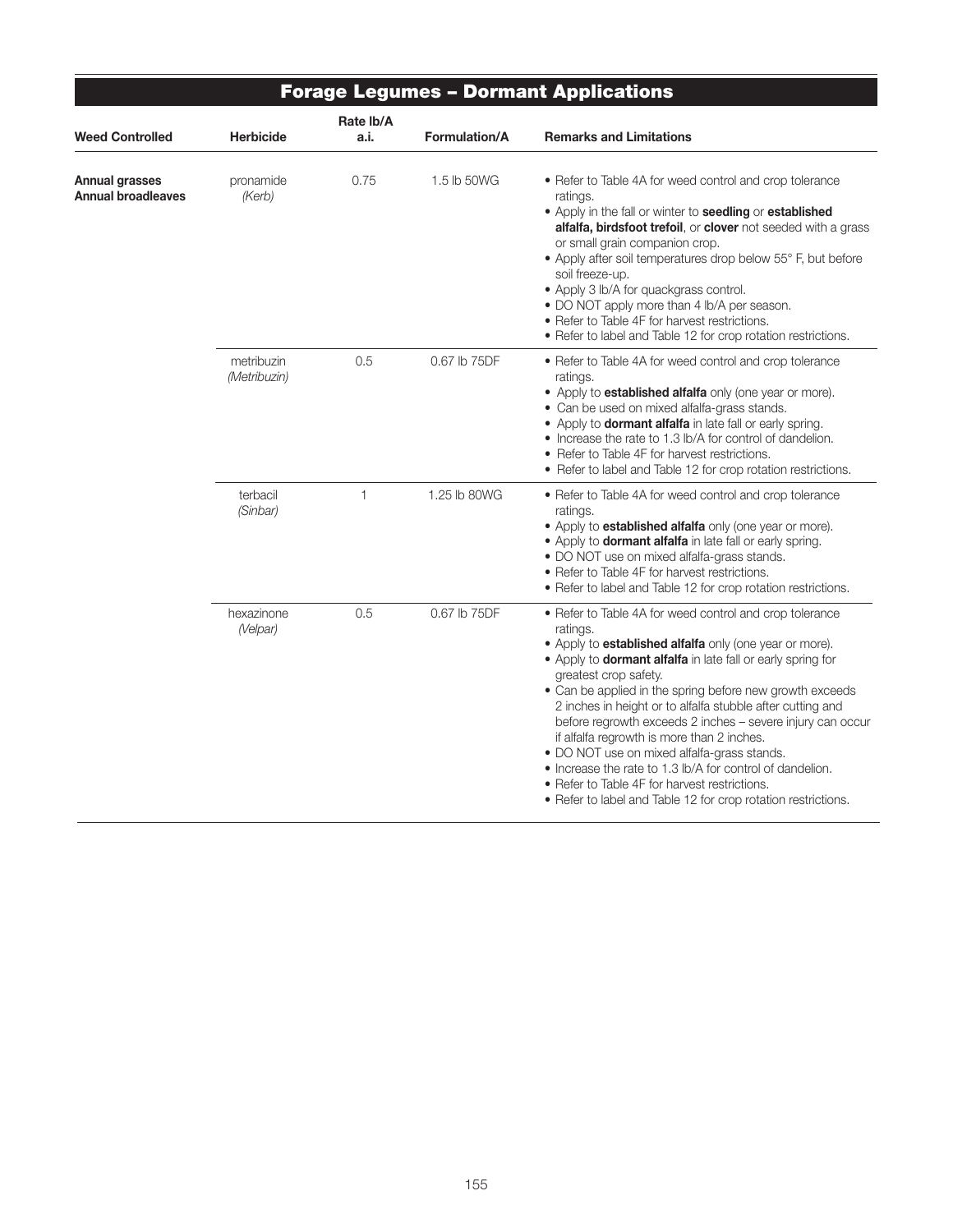|                                                    |                            |                   |               | <b>Forage Legumes - Dormant Applications</b>                                                                                                                                                                                                                                                                                                                                                                                                                                                                                                                                                                                                                                                             |
|----------------------------------------------------|----------------------------|-------------------|---------------|----------------------------------------------------------------------------------------------------------------------------------------------------------------------------------------------------------------------------------------------------------------------------------------------------------------------------------------------------------------------------------------------------------------------------------------------------------------------------------------------------------------------------------------------------------------------------------------------------------------------------------------------------------------------------------------------------------|
| <b>Weed Controlled</b>                             | <b>Herbicide</b>           | Rate Ib/A<br>a.i. | Formulation/A | <b>Remarks and Limitations</b>                                                                                                                                                                                                                                                                                                                                                                                                                                                                                                                                                                                                                                                                           |
| <b>Annual grasses</b><br><b>Annual broadleaves</b> | pronamide<br>(Kerb)        | 0.75              | 1.5 lb 50WG   | • Refer to Table 4A for weed control and crop tolerance<br>ratings.<br>. Apply in the fall or winter to seedling or established<br><b>alfalfa, birdsfoot trefoil</b> , or <b>clover</b> not seeded with a grass<br>or small grain companion crop.<br>• Apply after soil temperatures drop below 55° F, but before<br>soil freeze-up.<br>• Apply 3 lb/A for quackgrass control.<br>• DO NOT apply more than 4 lb/A per season.<br>• Refer to Table 4F for harvest restrictions.<br>• Refer to label and Table 12 for crop rotation restrictions.                                                                                                                                                          |
|                                                    | metribuzin<br>(Metribuzin) | 0.5               | 0.67 lb 75DF  | • Refer to Table 4A for weed control and crop tolerance<br>ratings.<br>• Apply to <b>established alfalfa</b> only (one year or more).<br>• Can be used on mixed alfalfa-grass stands.<br>• Apply to <b>dormant alfalfa</b> in late fall or early spring.<br>• Increase the rate to 1.3 lb/A for control of dandelion.<br>• Refer to Table 4F for harvest restrictions.<br>• Refer to label and Table 12 for crop rotation restrictions.                                                                                                                                                                                                                                                                  |
|                                                    | terbacil<br>(Sinbar)       | $\mathbf{1}$      | 1.25 lb 80WG  | • Refer to Table 4A for weed control and crop tolerance<br>ratings.<br>• Apply to <b>established alfalfa</b> only (one year or more).<br>. Apply to <b>dormant alfalfa</b> in late fall or early spring.<br>• DO NOT use on mixed alfalfa-grass stands.<br>• Refer to Table 4F for harvest restrictions.<br>• Refer to label and Table 12 for crop rotation restrictions.                                                                                                                                                                                                                                                                                                                                |
|                                                    | hexazinone<br>(Velpar)     | 0.5               | 0.67 lb 75DF  | • Refer to Table 4A for weed control and crop tolerance<br>ratings.<br>• Apply to <b>established alfalfa</b> only (one year or more).<br>• Apply to <b>dormant alfalfa</b> in late fall or early spring for<br>greatest crop safety.<br>• Can be applied in the spring before new growth exceeds<br>2 inches in height or to alfalfa stubble after cutting and<br>before regrowth exceeds 2 inches - severe injury can occur<br>if alfalfa regrowth is more than 2 inches.<br>• DO NOT use on mixed alfalfa-grass stands.<br>• Increase the rate to 1.3 lb/A for control of dandelion.<br>• Refer to Table 4F for harvest restrictions.<br>• Refer to label and Table 12 for crop rotation restrictions. |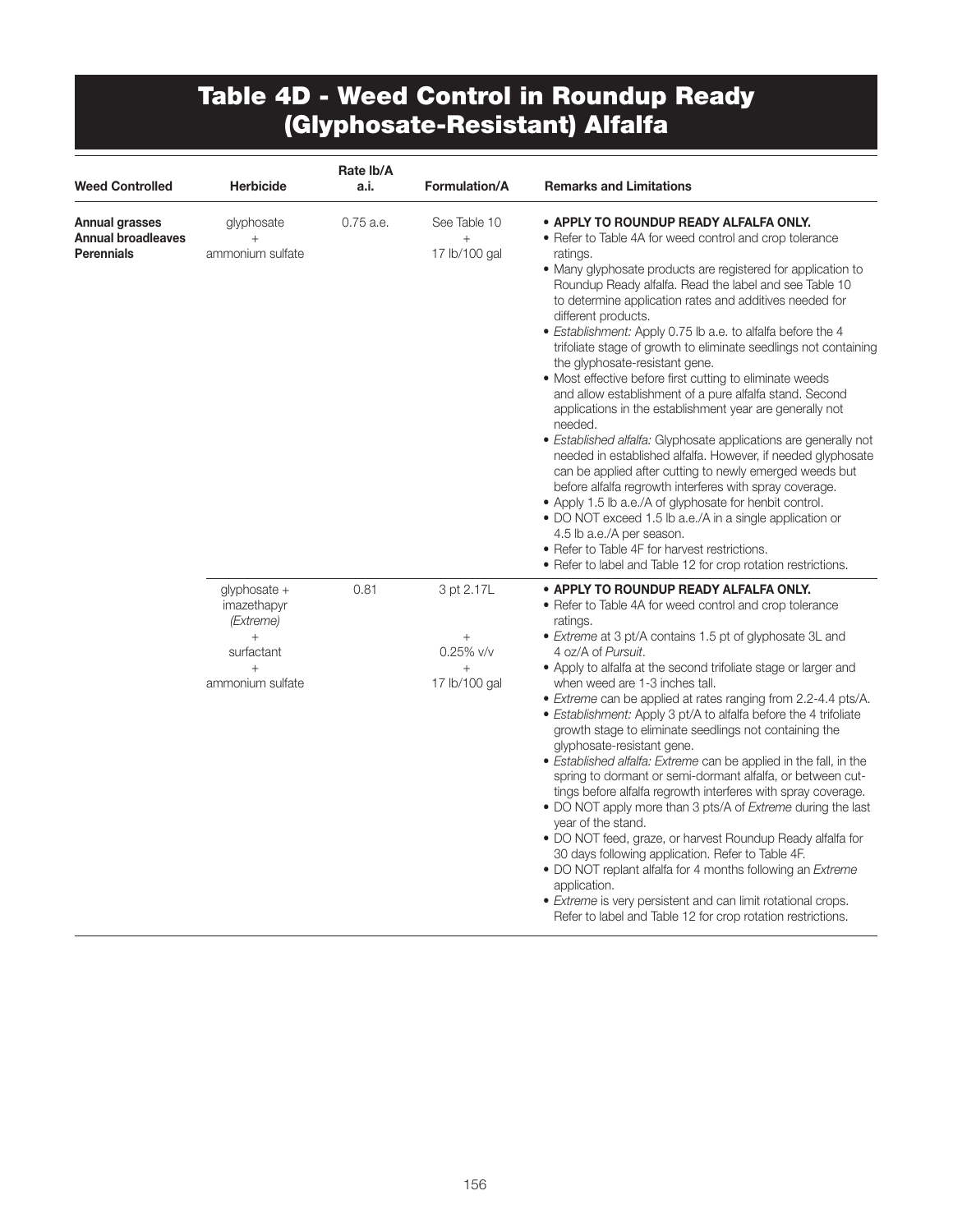### Table 4D - Weed Control in Roundup Ready (Glyphosate-Resistant) Alfalfa

| <b>Weed Controlled</b>                                    | <b>Herbicide</b>                                                                     | Rate Ib/A<br>a.i. | <b>Formulation/A</b>                                           | <b>Remarks and Limitations</b>                                                                                                                                                                                                                                                                                                                                                                                                                                                                                                                                                                                                                                                                                                                                                                                                                                                                                                                                                                                                                                                                                                                                                                                               |
|-----------------------------------------------------------|--------------------------------------------------------------------------------------|-------------------|----------------------------------------------------------------|------------------------------------------------------------------------------------------------------------------------------------------------------------------------------------------------------------------------------------------------------------------------------------------------------------------------------------------------------------------------------------------------------------------------------------------------------------------------------------------------------------------------------------------------------------------------------------------------------------------------------------------------------------------------------------------------------------------------------------------------------------------------------------------------------------------------------------------------------------------------------------------------------------------------------------------------------------------------------------------------------------------------------------------------------------------------------------------------------------------------------------------------------------------------------------------------------------------------------|
| Annual grasses<br><b>Annual broadleaves</b><br>Perennials | glyphosate<br>$^{+}$<br>ammonium sulfate                                             | $0.75$ a.e.       | See Table 10<br>$\ddot{}$<br>17 lb/100 gal                     | • APPLY TO ROUNDUP READY ALFALFA ONLY.<br>• Refer to Table 4A for weed control and crop tolerance<br>ratings.<br>• Many glyphosate products are registered for application to<br>Roundup Ready alfalfa. Read the label and see Table 10<br>to determine application rates and additives needed for<br>different products.<br>• Establishment: Apply 0.75 lb a.e. to alfalfa before the 4<br>trifoliate stage of growth to eliminate seedlings not containing<br>the glyphosate-resistant gene.<br>• Most effective before first cutting to eliminate weeds<br>and allow establishment of a pure alfalfa stand. Second<br>applications in the establishment year are generally not<br>needed.<br>· Established alfalfa: Glyphosate applications are generally not<br>needed in established alfalfa. However, if needed glyphosate<br>can be applied after cutting to newly emerged weeds but<br>before alfalfa regrowth interferes with spray coverage.<br>• Apply 1.5 lb a.e./A of glyphosate for henbit control.<br>• DO NOT exceed 1.5 lb a.e./A in a single application or<br>4.5 lb a.e./A per season.<br>• Refer to Table 4F for harvest restrictions.<br>• Refer to label and Table 12 for crop rotation restrictions. |
|                                                           | glyphosate +<br>imazethapyr<br>(Extreme)<br>surfactant<br>$^{+}$<br>ammonium sulfate | 0.81              | 3 pt 2.17L<br>$\! + \!\!\!\!$<br>$0.25\%$ v/v<br>17 lb/100 gal | • APPLY TO ROUNDUP READY ALFALFA ONLY.<br>• Refer to Table 4A for weed control and crop tolerance<br>ratings.<br>• Extreme at 3 pt/A contains 1.5 pt of glyphosate 3L and<br>4 oz/A of Pursuit.<br>• Apply to alfalfa at the second trifoliate stage or larger and<br>when weed are 1-3 inches tall.<br>• Extreme can be applied at rates ranging from 2.2-4.4 pts/A.<br>• Establishment: Apply 3 pt/A to alfalfa before the 4 trifoliate<br>growth stage to eliminate seedlings not containing the<br>glyphosate-resistant gene.<br>• Established alfalfa: Extreme can be applied in the fall, in the<br>spring to dormant or semi-dormant alfalfa, or between cut-<br>tings before alfalfa regrowth interferes with spray coverage.<br>• DO NOT apply more than 3 pts/A of Extreme during the last<br>year of the stand.<br>• DO NOT feed, graze, or harvest Roundup Ready alfalfa for<br>30 days following application. Refer to Table 4F.<br>• DO NOT replant alfalfa for 4 months following an <i>Extreme</i><br>application.<br>• <i>Extreme</i> is very persistent and can limit rotational crops.<br>Refer to label and Table 12 for crop rotation restrictions.                                                     |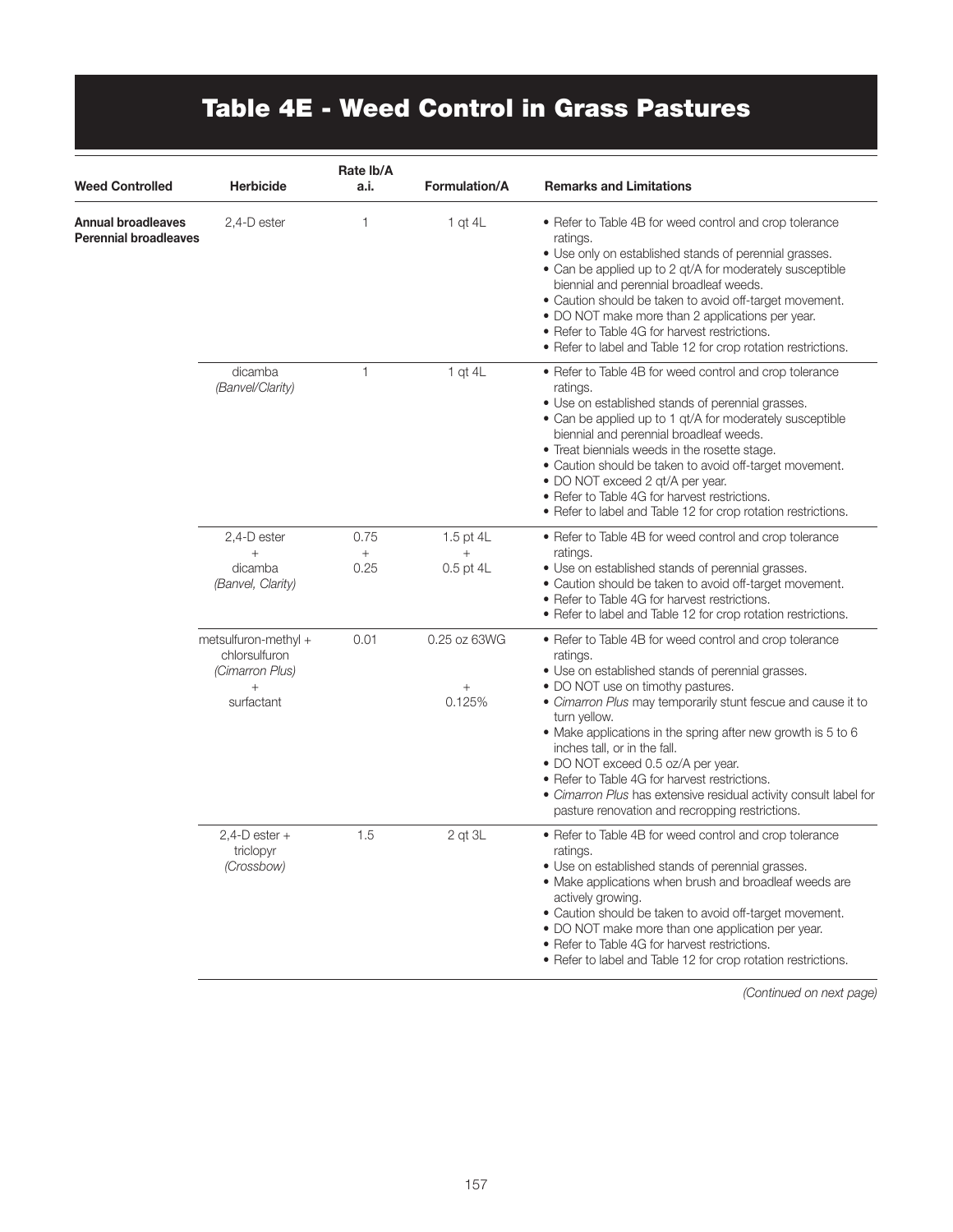# Table 4E - Weed Control in Grass Pastures

| <b>Weed Controlled</b>                                    | <b>Herbicide</b>                                                                 | Rate Ib/A<br>a.i.                        | <b>Formulation/A</b>                      | <b>Remarks and Limitations</b>                                                                                                                                                                                                                                                                                                                                                                                                                                                                                                                               |
|-----------------------------------------------------------|----------------------------------------------------------------------------------|------------------------------------------|-------------------------------------------|--------------------------------------------------------------------------------------------------------------------------------------------------------------------------------------------------------------------------------------------------------------------------------------------------------------------------------------------------------------------------------------------------------------------------------------------------------------------------------------------------------------------------------------------------------------|
| <b>Annual broadleaves</b><br><b>Perennial broadleaves</b> | 2,4-D ester                                                                      | 1                                        | 1 qt $4L$                                 | • Refer to Table 4B for weed control and crop tolerance<br>ratings.<br>• Use only on established stands of perennial grasses.<br>• Can be applied up to 2 qt/A for moderately susceptible<br>biennial and perennial broadleaf weeds.<br>• Caution should be taken to avoid off-target movement.<br>• DO NOT make more than 2 applications per year.<br>• Refer to Table 4G for harvest restrictions.<br>• Refer to label and Table 12 for crop rotation restrictions.                                                                                        |
|                                                           | dicamba<br>(Banvel/Clarity)                                                      | $\mathbf{1}$                             | $1$ qt $4L$                               | • Refer to Table 4B for weed control and crop tolerance<br>ratings.<br>• Use on established stands of perennial grasses.<br>• Can be applied up to 1 gt/A for moderately susceptible<br>biennial and perennial broadleaf weeds.<br>• Treat biennials weeds in the rosette stage.<br>• Caution should be taken to avoid off-target movement.<br>• DO NOT exceed 2 gt/A per year.<br>• Refer to Table 4G for harvest restrictions.<br>• Refer to label and Table 12 for crop rotation restrictions.                                                            |
|                                                           | 2,4-D ester                                                                      | 0.75                                     | 1.5 pt 4L                                 | • Refer to Table 4B for weed control and crop tolerance                                                                                                                                                                                                                                                                                                                                                                                                                                                                                                      |
|                                                           | $^{+}$<br>dicamba<br>(Banvel, Clarity)                                           | $\begin{array}{c} + \end{array}$<br>0.25 | $^{+}$<br>$0.5$ pt $4L$                   | ratings.<br>• Use on established stands of perennial grasses.<br>• Caution should be taken to avoid off-target movement.<br>• Refer to Table 4G for harvest restrictions.<br>• Refer to label and Table 12 for crop rotation restrictions.                                                                                                                                                                                                                                                                                                                   |
|                                                           | metsulfuron-methyl +<br>chlorsulfuron<br>(Cimarron Plus)<br>$^{+}$<br>surfactant | 0.01                                     | 0.25 oz 63WG<br>$\! + \!\!\!\!$<br>0.125% | • Refer to Table 4B for weed control and crop tolerance<br>ratings.<br>• Use on established stands of perennial grasses.<br>• DO NOT use on timothy pastures.<br>• Cimarron Plus may temporarily stunt fescue and cause it to<br>turn yellow.<br>• Make applications in the spring after new growth is 5 to 6<br>inches tall, or in the fall.<br>• DO NOT exceed 0.5 oz/A per year.<br>• Refer to Table 4G for harvest restrictions.<br>• Cimarron Plus has extensive residual activity consult label for<br>pasture renovation and recropping restrictions. |
|                                                           | $2,4$ -D ester +<br>triclopyr<br>(Crossbow)                                      | 1.5                                      | $2$ qt $3L$                               | • Refer to Table 4B for weed control and crop tolerance<br>ratings.<br>• Use on established stands of perennial grasses.<br>• Make applications when brush and broadleaf weeds are<br>actively growing.<br>• Caution should be taken to avoid off-target movement.<br>• DO NOT make more than one application per year.<br>• Refer to Table 4G for harvest restrictions.<br>• Refer to label and Table 12 for crop rotation restrictions.                                                                                                                    |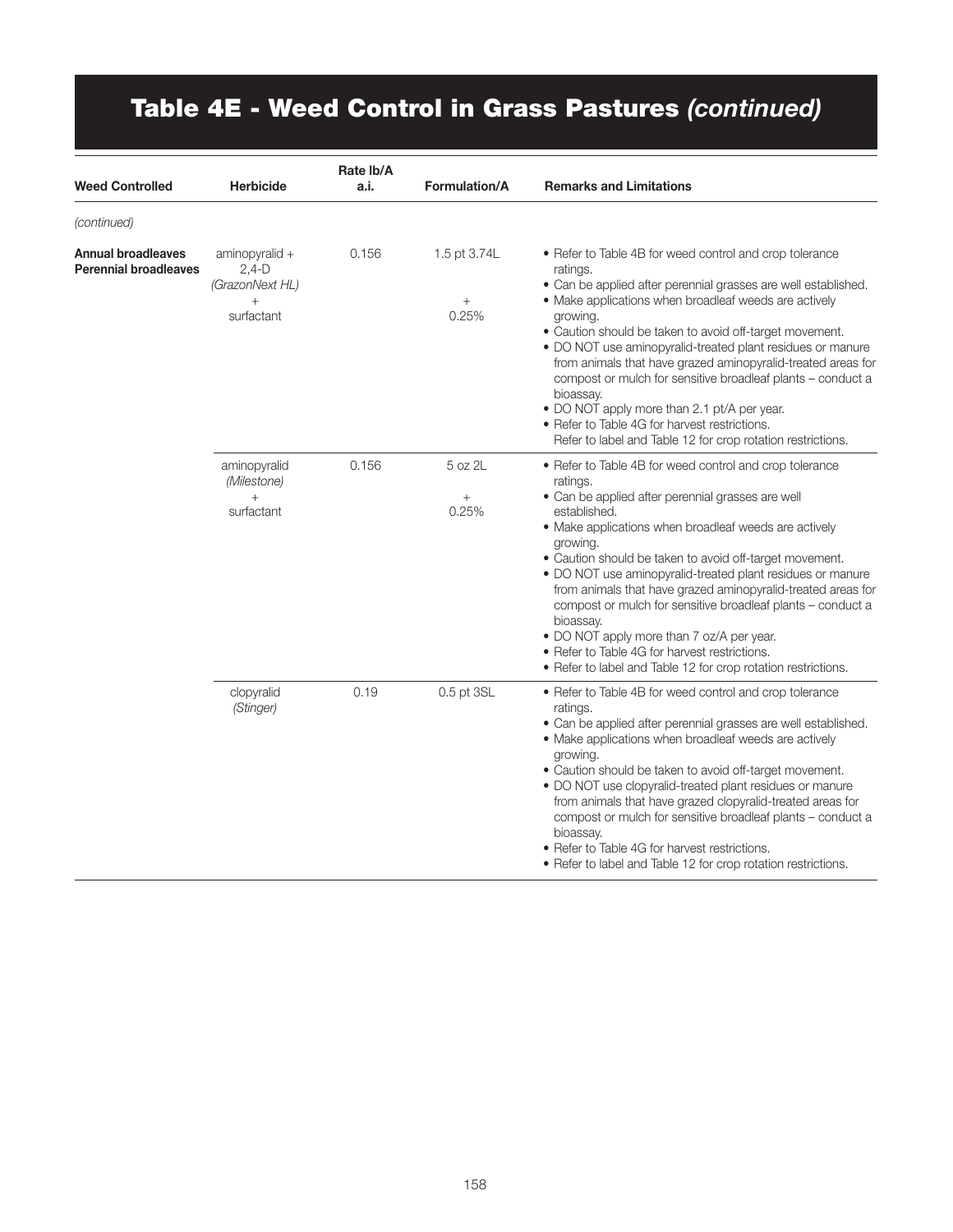# Table 4E - Weed Control in Grass Pastures *(continued)*

| Weed Controlled                                           | <b>Herbicide</b>                                                     | Rate Ib/A<br>a.i. | Formulation/A                   | <b>Remarks and Limitations</b>                                                                                                                                                                                                                                                                                                                                                                                                                                                                                                                                                                                                                    |
|-----------------------------------------------------------|----------------------------------------------------------------------|-------------------|---------------------------------|---------------------------------------------------------------------------------------------------------------------------------------------------------------------------------------------------------------------------------------------------------------------------------------------------------------------------------------------------------------------------------------------------------------------------------------------------------------------------------------------------------------------------------------------------------------------------------------------------------------------------------------------------|
| (continued)                                               |                                                                      |                   |                                 |                                                                                                                                                                                                                                                                                                                                                                                                                                                                                                                                                                                                                                                   |
| <b>Annual broadleaves</b><br><b>Perennial broadleaves</b> | aminopyralid +<br>$2,4-D$<br>(GrazonNext HL)<br>$^{+}$<br>surfactant | 0.156             | 1.5 pt 3.74L<br>$^{+}$<br>0.25% | • Refer to Table 4B for weed control and crop tolerance<br>ratings.<br>• Can be applied after perennial grasses are well established.<br>• Make applications when broadleaf weeds are actively<br>growing.<br>• Caution should be taken to avoid off-target movement.<br>• DO NOT use aminopyralid-treated plant residues or manure<br>from animals that have grazed aminopyralid-treated areas for<br>compost or mulch for sensitive broadleaf plants - conduct a<br>bioassay.<br>• DO NOT apply more than 2.1 pt/A per year.<br>• Refer to Table 4G for harvest restrictions.<br>Refer to label and Table 12 for crop rotation restrictions.    |
|                                                           | aminopyralid<br>(Milestone)<br>$+$<br>surfactant                     | 0.156             | 5 oz 2L<br>$^{+}$<br>0.25%      | • Refer to Table 4B for weed control and crop tolerance<br>ratings.<br>• Can be applied after perennial grasses are well<br>established.<br>• Make applications when broadleaf weeds are actively<br>growing.<br>• Caution should be taken to avoid off-target movement.<br>. DO NOT use aminopyralid-treated plant residues or manure<br>from animals that have grazed aminopyralid-treated areas for<br>compost or mulch for sensitive broadleaf plants - conduct a<br>bioassay.<br>• DO NOT apply more than 7 oz/A per year.<br>• Refer to Table 4G for harvest restrictions.<br>• Refer to label and Table 12 for crop rotation restrictions. |
|                                                           | clopyralid<br>(Stinger)                                              | 0.19              | 0.5 pt 3SL                      | • Refer to Table 4B for weed control and crop tolerance<br>ratings.<br>• Can be applied after perennial grasses are well established.<br>• Make applications when broadleaf weeds are actively<br>growing.<br>• Caution should be taken to avoid off-target movement.<br>• DO NOT use clopyralid-treated plant residues or manure<br>from animals that have grazed clopyralid-treated areas for<br>compost or mulch for sensitive broadleaf plants - conduct a<br>bioassay.<br>• Refer to Table 4G for harvest restrictions.<br>• Refer to label and Table 12 for crop rotation restrictions.                                                     |